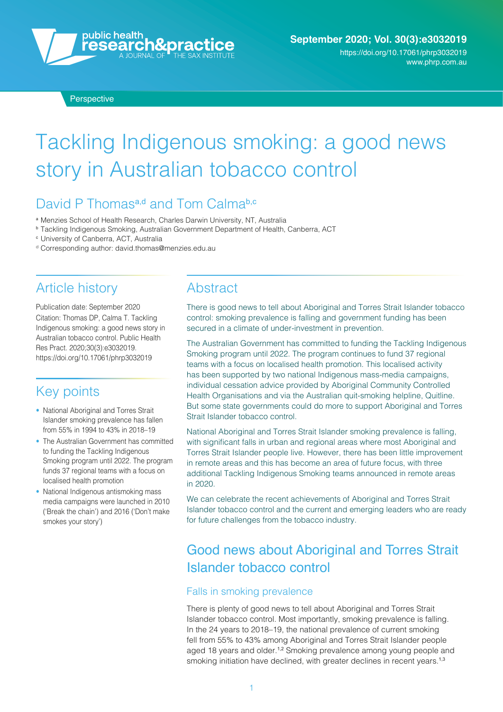

**Perspective** 

# Tackling Indigenous smoking: a good news story in Australian tobacco control

## David P Thomas<sup>a,d</sup> and Tom Calma<sup>b,c</sup>

- <sup>a</sup> Menzies School of Health Research, Charles Darwin University, NT, Australia
- <sup>b</sup> Tackling Indigenous Smoking, Australian Government Department of Health, Canberra, ACT
- <sup>c</sup> University of Canberra, ACT, Australia
- <sup>d</sup> Corresponding author: [david.thomas@menzies.edu.au](mailto:david.thomas@menzies.edu.au)

### Article history

Publication date: September 2020 Citation: Thomas DP, Calma T. Tackling Indigenous smoking: a good news story in Australian tobacco control. Public Health Res Pract. 2020;30(3):e3032019. <https://doi.org/10.17061/phrp3032019>

### Key points

- National Aboriginal and Torres Strait Islander smoking prevalence has fallen from 55% in 1994 to 43% in 2018–19
- The Australian Government has committed to funding the Tackling Indigenous Smoking program until 2022. The program funds 37 regional teams with a focus on localised health promotion
- National Indigenous antismoking mass media campaigns were launched in 2010 ('Break the chain') and 2016 ('Don't make smokes your story')

### **Abstract**

There is good news to tell about Aboriginal and Torres Strait Islander tobacco control: smoking prevalence is falling and government funding has been secured in a climate of under-investment in prevention.

The Australian Government has committed to funding the Tackling Indigenous Smoking program until 2022. The program continues to fund 37 regional teams with a focus on localised health promotion. This localised activity has been supported by two national Indigenous mass-media campaigns, individual cessation advice provided by Aboriginal Community Controlled Health Organisations and via the Australian quit-smoking helpline, Quitline. But some state governments could do more to support Aboriginal and Torres Strait Islander tobacco control.

National Aboriginal and Torres Strait Islander smoking prevalence is falling, with significant falls in urban and regional areas where most Aboriginal and Torres Strait Islander people live. However, there has been little improvement in remote areas and this has become an area of future focus, with three additional Tackling Indigenous Smoking teams announced in remote areas in 2020.

We can celebrate the recent achievements of Aboriginal and Torres Strait Islander tobacco control and the current and emerging leaders who are ready for future challenges from the tobacco industry.

# Good news about Aboriginal and Torres Strait Islander tobacco control

#### Falls in smoking prevalence

There is plenty of good news to tell about Aboriginal and Torres Strait Islander tobacco control. Most importantly, smoking prevalence is falling. In the 24 years to 2018–19, the national prevalence of current smoking fell from 55% to 43% among Aboriginal and Torres Strait Islander people aged 18 years and older.<sup>1,2</sup> Smoking prevalence among young people and smoking initiation have declined, with greater declines in recent years.<sup>1,3</sup>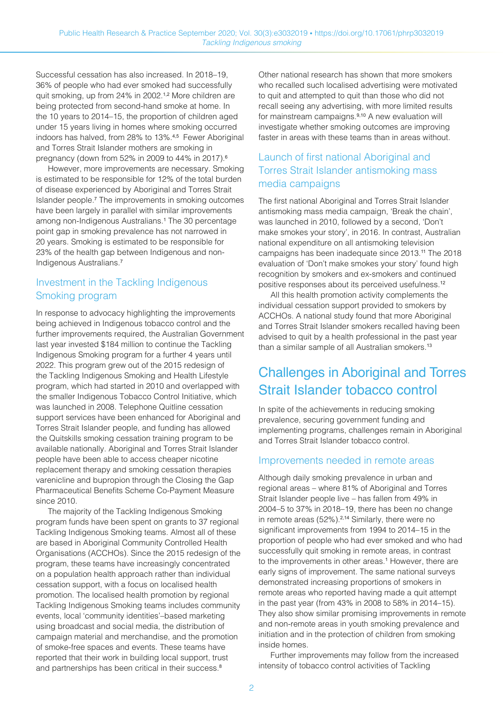Successful cessation has also increased. In 2018–19, 36% of people who had ever smoked had successfully quit smoking, up from 24% in 2002.1,2 More children are being protected from second-hand smoke at home. In the 10 years to 2014–15, the proportion of children aged under 15 years living in homes where smoking occurred indoors has halved, from 28% to 13%.4,5 Fewer Aboriginal and Torres Strait Islander mothers are smoking in pregnancy (down from 52% in 2009 to 44% in 2017).<sup>6</sup>

However, more improvements are necessary. Smoking is estimated to be responsible for 12% of the total burden of disease experienced by Aboriginal and Torres Strait Islander people.<sup>7</sup> The improvements in smoking outcomes have been largely in parallel with similar improvements among non-Indigenous Australians.<sup>1</sup> The 30 percentage point gap in smoking prevalence has not narrowed in 20 years. Smoking is estimated to be responsible for 23% of the health gap between Indigenous and non-Indigenous Australians.<sup>7</sup>

#### Investment in the Tackling Indigenous Smoking program

In response to advocacy highlighting the improvements being achieved in Indigenous tobacco control and the further improvements required, the Australian Government last year invested \$184 million to continue the Tackling Indigenous Smoking program for a further 4 years until 2022. This program grew out of the 2015 redesign of the Tackling Indigenous Smoking and Health Lifestyle program, which had started in 2010 and overlapped with the smaller Indigenous Tobacco Control Initiative, which was launched in 2008. Telephone Quitline cessation support services have been enhanced for Aboriginal and Torres Strait Islander people, and funding has allowed the Quitskills smoking cessation training program to be available nationally. Aboriginal and Torres Strait Islander people have been able to access cheaper nicotine replacement therapy and smoking cessation therapies varenicline and bupropion through the Closing the Gap Pharmaceutical Benefits Scheme Co-Payment Measure since 2010.

The majority of the Tackling Indigenous Smoking program funds have been spent on grants to 37 regional Tackling Indigenous Smoking teams. Almost all of these are based in Aboriginal Community Controlled Health Organisations (ACCHOs). Since the 2015 redesign of the program, these teams have increasingly concentrated on a population health approach rather than individual cessation support, with a focus on localised health promotion. The localised health promotion by regional Tackling Indigenous Smoking teams includes community events, local 'community identities'–based marketing using broadcast and social media, the distribution of campaign material and merchandise, and the promotion of smoke-free spaces and events. These teams have reported that their work in building local support, trust and partnerships has been critical in their success.<sup>8</sup>

Other national research has shown that more smokers who recalled such localised advertising were motivated to quit and attempted to quit than those who did not recall seeing any advertising, with more limited results for mainstream campaigns.9,10 A new evaluation will investigate whether smoking outcomes are improving faster in areas with these teams than in areas without.

#### Launch of first national Aboriginal and Torres Strait Islander antismoking mass media campaigns

The first national Aboriginal and Torres Strait Islander antismoking mass media campaign, 'Break the chain', was launched in 2010, followed by a second, 'Don't make smokes your story', in 2016. In contrast, Australian national expenditure on all antismoking television campaigns has been inadequate since 2013.<sup>11</sup> The 2018 evaluation of 'Don't make smokes your story' found high recognition by smokers and ex-smokers and continued positive responses about its perceived usefulness.<sup>12</sup>

All this health promotion activity complements the individual cessation support provided to smokers by ACCHOs. A national study found that more Aboriginal and Torres Strait Islander smokers recalled having been advised to quit by a health professional in the past year than a similar sample of all Australian smokers.<sup>13</sup>

# Challenges in Aboriginal and Torres Strait Islander tobacco control

In spite of the achievements in reducing smoking prevalence, securing government funding and implementing programs, challenges remain in Aboriginal and Torres Strait Islander tobacco control.

#### Improvements needed in remote areas

Although daily smoking prevalence in urban and regional areas – where 81% of Aboriginal and Torres Strait Islander people live – has fallen from 49% in 2004–5 to 37% in 2018–19, there has been no change in remote areas (52%).<sup>2,14</sup> Similarly, there were no significant improvements from 1994 to 2014-15 in the proportion of people who had ever smoked and who had successfully quit smoking in remote areas, in contrast to the improvements in other areas.<sup>1</sup> However, there are early signs of improvement. The same national surveys demonstrated increasing proportions of smokers in remote areas who reported having made a quit attempt in the past year (from 43% in 2008 to 58% in 2014–15). They also show similar promising improvements in remote and non-remote areas in youth smoking prevalence and initiation and in the protection of children from smoking inside homes.

Further improvements may follow from the increased intensity of tobacco control activities of Tackling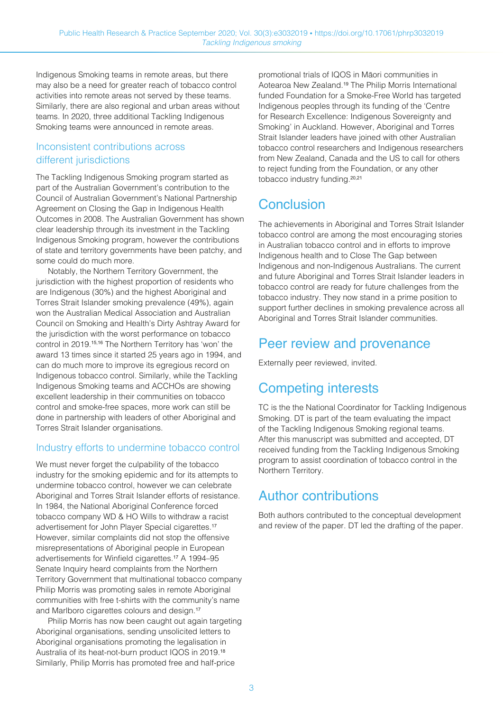Indigenous Smoking teams in remote areas, but there may also be a need for greater reach of tobacco control activities into remote areas not served by these teams. Similarly, there are also regional and urban areas without teams. In 2020, three additional Tackling Indigenous Smoking teams were announced in remote areas.

#### Inconsistent contributions across different jurisdictions

The Tackling Indigenous Smoking program started as part of the Australian Government's contribution to the Council of Australian Government's National Partnership Agreement on Closing the Gap in Indigenous Health Outcomes in 2008. The Australian Government has shown clear leadership through its investment in the Tackling Indigenous Smoking program, however the contributions of state and territory governments have been patchy, and some could do much more.

Notably, the Northern Territory Government, the jurisdiction with the highest proportion of residents who are Indigenous (30%) and the highest Aboriginal and Torres Strait Islander smoking prevalence (49%), again won the Australian Medical Association and Australian Council on Smoking and Health's Dirty Ashtray Award for the jurisdiction with the worst performance on tobacco control in 2019.15,16 The Northern Territory has 'won' the award 13 times since it started 25 years ago in 1994, and can do much more to improve its egregious record on Indigenous tobacco control. Similarly, while the Tackling Indigenous Smoking teams and ACCHOs are showing excellent leadership in their communities on tobacco control and smoke-free spaces, more work can still be done in partnership with leaders of other Aboriginal and Torres Strait Islander organisations.

#### Industry efforts to undermine tobacco control

We must never forget the culpability of the tobacco industry for the smoking epidemic and for its attempts to undermine tobacco control, however we can celebrate Aboriginal and Torres Strait Islander efforts of resistance. In 1984, the National Aboriginal Conference forced tobacco company WD & HO Wills to withdraw a racist advertisement for John Player Special cigarettes.<sup>17</sup> However, similar complaints did not stop the offensive misrepresentations of Aboriginal people in European advertisements for Winfield cigarettes.<sup>17</sup> A 1994-95 Senate Inquiry heard complaints from the Northern Territory Government that multinational tobacco company Philip Morris was promoting sales in remote Aboriginal communities with free t-shirts with the community's name and Marlboro cigarettes colours and design.<sup>17</sup>

Philip Morris has now been caught out again targeting Aboriginal organisations, sending unsolicited letters to Aboriginal organisations promoting the legalisation in Australia of its heat-not-burn product IQOS in 2019.<sup>18</sup> Similarly, Philip Morris has promoted free and half-price

promotional trials of IQOS in Māori communities in Aotearoa New Zealand.<sup>19</sup> The Philip Morris International funded Foundation for a Smoke-Free World has targeted Indigenous peoples through its funding of the 'Centre for Research Excellence: Indigenous Sovereignty and Smoking' in Auckland. However, Aboriginal and Torres Strait Islander leaders have joined with other Australian tobacco control researchers and Indigenous researchers from New Zealand, Canada and the US to call for others to reject funding from the Foundation, or any other tobacco industry funding.<sup>20,21</sup>

# **Conclusion**

The achievements in Aboriginal and Torres Strait Islander tobacco control are among the most encouraging stories in Australian tobacco control and in efforts to improve Indigenous health and to Close The Gap between Indigenous and non-Indigenous Australians. The current and future Aboriginal and Torres Strait Islander leaders in tobacco control are ready for future challenges from the tobacco industry. They now stand in a prime position to support further declines in smoking prevalence across all Aboriginal and Torres Strait Islander communities.

### Peer review and provenance

Externally peer reviewed, invited.

# Competing interests

TC is the the National Coordinator for Tackling Indigenous Smoking. DT is part of the team evaluating the impact of the Tackling Indigenous Smoking regional teams. After this manuscript was submitted and accepted, DT received funding from the Tackling Indigenous Smoking program to assist coordination of tobacco control in the Northern Territory.

## Author contributions

Both authors contributed to the conceptual development and review of the paper. DT led the drafting of the paper.